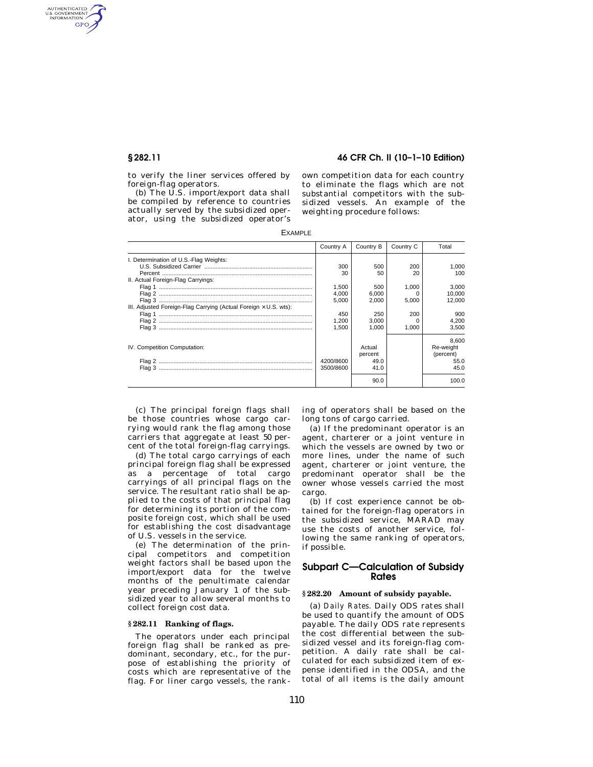AUTHENTICATED<br>U.S. GOVERNMENT<br>INFORMATION GPO

**§ 282.11 46 CFR Ch. II (10–1–10 Edition)** 

to verify the liner services offered by foreign-flag operators.

(b) The U.S. import/export data shall be compiled by reference to countries actually served by the subsidized operator, using the subsidized operator's own competition data for each country to eliminate the flags which are not substantial competitors with the subsidized vessels. An example of the weighting procedure follows:

EXAMPLE

|                                                                         | Country A | Country B | Country C | Total     |
|-------------------------------------------------------------------------|-----------|-----------|-----------|-----------|
| I. Determination of U.S.-Flag Weights:                                  |           |           |           |           |
|                                                                         | 300       | 500       | 200       | 1.000     |
|                                                                         | 30        | 50        | 20        | 100       |
| II. Actual Foreign-Flag Carryings:                                      |           |           |           |           |
|                                                                         | 1.500     | 500       | 1.000     | 3.000     |
|                                                                         | 4.000     | 6.000     | O         | 10.000    |
|                                                                         | 5.000     | 2.000     | 5.000     | 12.000    |
| III. Adjusted Foreign-Flag Carrying (Actual Foreign $\times$ U.S. wts): |           |           |           |           |
|                                                                         | 450       | 250       | 200       | 900       |
|                                                                         | 1.200     | 3.000     | O         | 4.200     |
|                                                                         | 1.500     | 1.000     | 1.000     | 3.500     |
|                                                                         |           |           |           | 8.600     |
| IV. Competition Computation:                                            |           | Actual    |           | Re-weight |
|                                                                         |           | percent   |           | (percent) |
|                                                                         | 4200/8600 | 49.0      |           | 55.0      |
|                                                                         | 3500/8600 | 41.0      |           | 45.0      |
|                                                                         |           | 90.0      |           | 100.0     |

(c) The principal foreign flags shall be those countries whose cargo carrying would rank the flag among those carriers that aggregate at least 50 percent of the total foreign-flag carryings.

(d) The total cargo carryings of each principal foreign flag shall be expressed as a percentage of total cargo carryings of all principal flags on the service. The resultant ratio shall be applied to the costs of that principal flag for determining its portion of the composite foreign cost, which shall be used for establishing the cost disadvantage of U.S. vessels in the service.

(e) The determination of the principal competitors and competition weight factors shall be based upon the import/export data for the twelve months of the penultimate calendar year preceding January 1 of the subsidized year to allow several months to collect foreign cost data.

### **§ 282.11 Ranking of flags.**

The operators under each principal foreign flag shall be ranked as predominant, secondary, etc., for the purpose of establishing the priority of costs which are representative of the flag. For liner cargo vessels, the ranking of operators shall be based on the long tons of cargo carried.

(a) If the predominant operator is an agent, charterer or a joint venture in which the vessels are owned by two or more lines, under the name of such agent, charterer or joint venture, the predominant operator shall be the owner whose vessels carried the most cargo.

(b) If cost experience cannot be obtained for the foreign-flag operators in the subsidized service, MARAD may use the costs of another service, following the same ranking of operators, if possible.

# **Subpart C—Calculation of Subsidy Rates**

#### **§ 282.20 Amount of subsidy payable.**

(a) *Daily Rates.* Daily ODS rates shall be used to quantify the amount of ODS payable. The daily ODS rate represents the cost differential between the subsidized vessel and its foreign-flag competition. A daily rate shall be calculated for each subsidized item of expense identified in the ODSA, and the total of all items is the daily amount